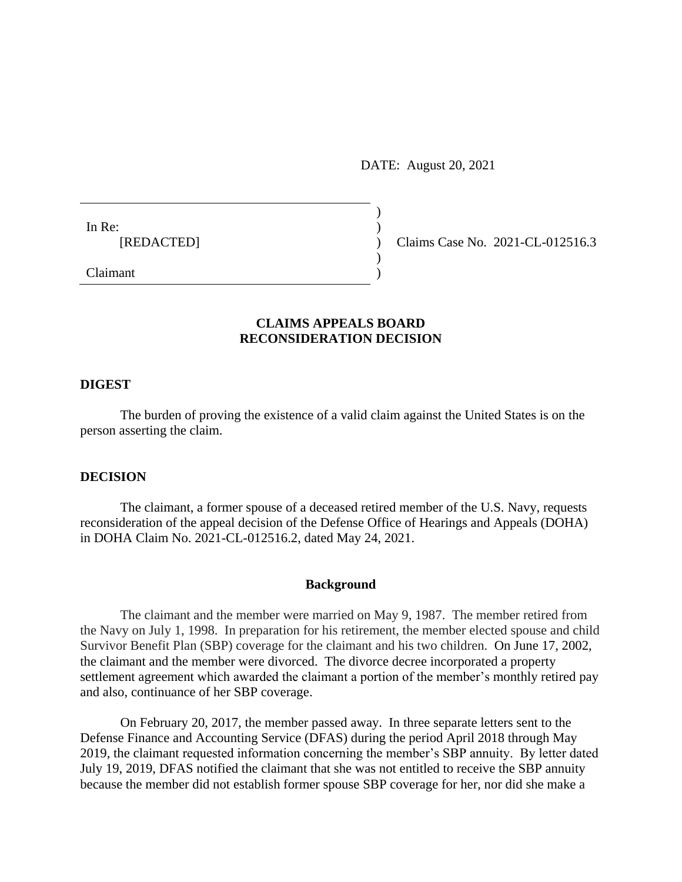DATE: August 20, 2021

)

 $)$ 

In Re:  $\qquad \qquad$ )

[REDACTED] ) Claims Case No. 2021-CL-012516.3

Claimant )

# **CLAIMS APPEALS BOARD RECONSIDERATION DECISION**

### **DIGEST**

The burden of proving the existence of a valid claim against the United States is on the person asserting the claim.

### **DECISION**

The claimant, a former spouse of a deceased retired member of the U.S. Navy, requests reconsideration of the appeal decision of the Defense Office of Hearings and Appeals (DOHA) in DOHA Claim No. 2021-CL-012516.2, dated May 24, 2021.

### **Background**

The claimant and the member were married on May 9, 1987. The member retired from the Navy on July 1, 1998. In preparation for his retirement, the member elected spouse and child Survivor Benefit Plan (SBP) coverage for the claimant and his two children. On June 17, 2002, the claimant and the member were divorced. The divorce decree incorporated a property settlement agreement which awarded the claimant a portion of the member's monthly retired pay and also, continuance of her SBP coverage.

On February 20, 2017, the member passed away. In three separate letters sent to the Defense Finance and Accounting Service (DFAS) during the period April 2018 through May 2019, the claimant requested information concerning the member's SBP annuity. By letter dated July 19, 2019, DFAS notified the claimant that she was not entitled to receive the SBP annuity because the member did not establish former spouse SBP coverage for her, nor did she make a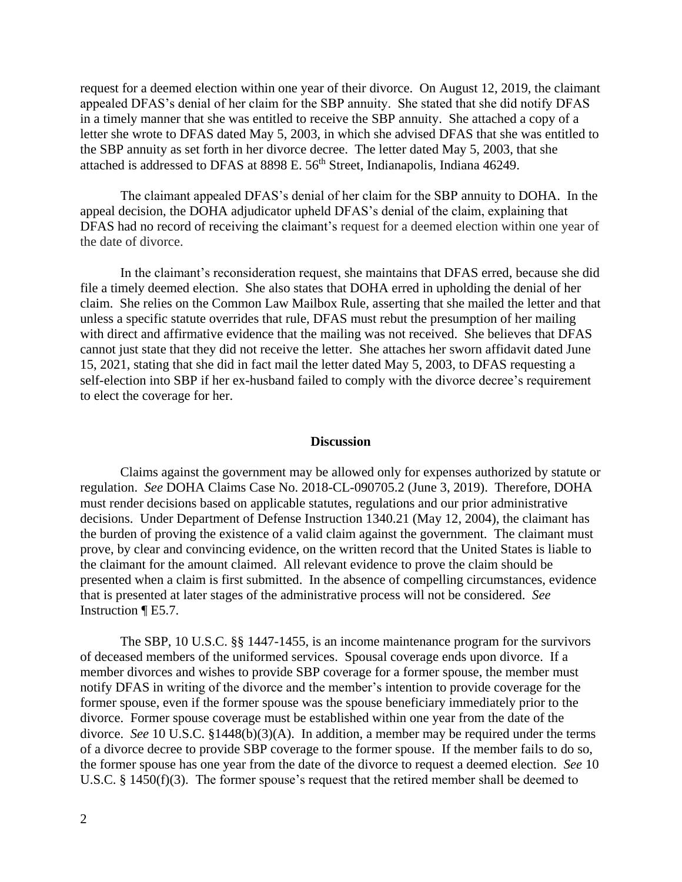request for a deemed election within one year of their divorce. On August 12, 2019, the claimant appealed DFAS's denial of her claim for the SBP annuity. She stated that she did notify DFAS in a timely manner that she was entitled to receive the SBP annuity. She attached a copy of a letter she wrote to DFAS dated May 5, 2003, in which she advised DFAS that she was entitled to the SBP annuity as set forth in her divorce decree. The letter dated May 5, 2003, that she attached is addressed to DFAS at 8898 E. 56<sup>th</sup> Street, Indianapolis, Indiana 46249.

The claimant appealed DFAS's denial of her claim for the SBP annuity to DOHA. In the appeal decision, the DOHA adjudicator upheld DFAS's denial of the claim, explaining that DFAS had no record of receiving the claimant's request for a deemed election within one year of the date of divorce.

In the claimant's reconsideration request, she maintains that DFAS erred, because she did file a timely deemed election. She also states that DOHA erred in upholding the denial of her claim. She relies on the Common Law Mailbox Rule, asserting that she mailed the letter and that unless a specific statute overrides that rule, DFAS must rebut the presumption of her mailing with direct and affirmative evidence that the mailing was not received. She believes that DFAS cannot just state that they did not receive the letter. She attaches her sworn affidavit dated June 15, 2021, stating that she did in fact mail the letter dated May 5, 2003, to DFAS requesting a self-election into SBP if her ex-husband failed to comply with the divorce decree's requirement to elect the coverage for her.

#### **Discussion**

Claims against the government may be allowed only for expenses authorized by statute or regulation. *See* DOHA Claims Case No. 2018-CL-090705.2 (June 3, 2019). Therefore, DOHA must render decisions based on applicable statutes, regulations and our prior administrative decisions. Under Department of Defense Instruction 1340.21 (May 12, 2004), the claimant has the burden of proving the existence of a valid claim against the government. The claimant must prove, by clear and convincing evidence, on the written record that the United States is liable to the claimant for the amount claimed. All relevant evidence to prove the claim should be presented when a claim is first submitted. In the absence of compelling circumstances, evidence that is presented at later stages of the administrative process will not be considered. *See* Instruction ¶ E5.7.

The SBP, 10 U.S.C. §§ 1447-1455, is an income maintenance program for the survivors of deceased members of the uniformed services. Spousal coverage ends upon divorce. If a member divorces and wishes to provide SBP coverage for a former spouse, the member must notify DFAS in writing of the divorce and the member's intention to provide coverage for the former spouse, even if the former spouse was the spouse beneficiary immediately prior to the divorce. Former spouse coverage must be established within one year from the date of the divorce. *See* 10 U.S.C. §1448(b)(3)(A). In addition, a member may be required under the terms of a divorce decree to provide SBP coverage to the former spouse. If the member fails to do so, the former spouse has one year from the date of the divorce to request a deemed election. *See* 10 U.S.C. § 1450(f)(3). The former spouse's request that the retired member shall be deemed to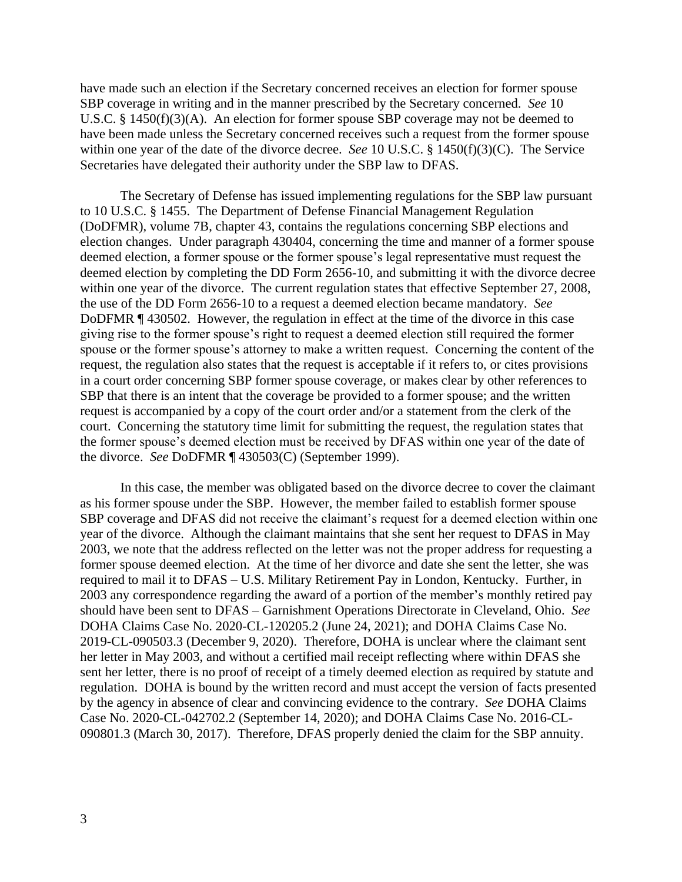have made such an election if the Secretary concerned receives an election for former spouse SBP coverage in writing and in the manner prescribed by the Secretary concerned. *See* 10 U.S.C. § 1450(f)(3)(A). An election for former spouse SBP coverage may not be deemed to have been made unless the Secretary concerned receives such a request from the former spouse within one year of the date of the divorce decree. *See* 10 U.S.C. § 1450(f)(3)(C). The Service Secretaries have delegated their authority under the SBP law to DFAS.

The Secretary of Defense has issued implementing regulations for the SBP law pursuant to 10 U.S.C. § 1455. The Department of Defense Financial Management Regulation (DoDFMR), volume 7B, chapter 43, contains the regulations concerning SBP elections and election changes. Under paragraph 430404, concerning the time and manner of a former spouse deemed election, a former spouse or the former spouse's legal representative must request the deemed election by completing the DD Form 2656-10, and submitting it with the divorce decree within one year of the divorce. The current regulation states that effective September 27, 2008, the use of the DD Form 2656-10 to a request a deemed election became mandatory. *See* DoDFMR ¶ 430502. However, the regulation in effect at the time of the divorce in this case giving rise to the former spouse's right to request a deemed election still required the former spouse or the former spouse's attorney to make a written request. Concerning the content of the request, the regulation also states that the request is acceptable if it refers to, or cites provisions in a court order concerning SBP former spouse coverage, or makes clear by other references to SBP that there is an intent that the coverage be provided to a former spouse; and the written request is accompanied by a copy of the court order and/or a statement from the clerk of the court. Concerning the statutory time limit for submitting the request, the regulation states that the former spouse's deemed election must be received by DFAS within one year of the date of the divorce. *See* DoDFMR ¶ 430503(C) (September 1999).

In this case, the member was obligated based on the divorce decree to cover the claimant as his former spouse under the SBP. However, the member failed to establish former spouse SBP coverage and DFAS did not receive the claimant's request for a deemed election within one year of the divorce. Although the claimant maintains that she sent her request to DFAS in May 2003, we note that the address reflected on the letter was not the proper address for requesting a former spouse deemed election. At the time of her divorce and date she sent the letter, she was required to mail it to DFAS – U.S. Military Retirement Pay in London, Kentucky. Further, in 2003 any correspondence regarding the award of a portion of the member's monthly retired pay should have been sent to DFAS – Garnishment Operations Directorate in Cleveland, Ohio. *See* DOHA Claims Case No. 2020-CL-120205.2 (June 24, 2021); and DOHA Claims Case No. 2019-CL-090503.3 (December 9, 2020). Therefore, DOHA is unclear where the claimant sent her letter in May 2003, and without a certified mail receipt reflecting where within DFAS she sent her letter, there is no proof of receipt of a timely deemed election as required by statute and regulation. DOHA is bound by the written record and must accept the version of facts presented by the agency in absence of clear and convincing evidence to the contrary. *See* DOHA Claims Case No. 2020-CL-042702.2 (September 14, 2020); and DOHA Claims Case No. 2016-CL-090801.3 (March 30, 2017). Therefore, DFAS properly denied the claim for the SBP annuity.